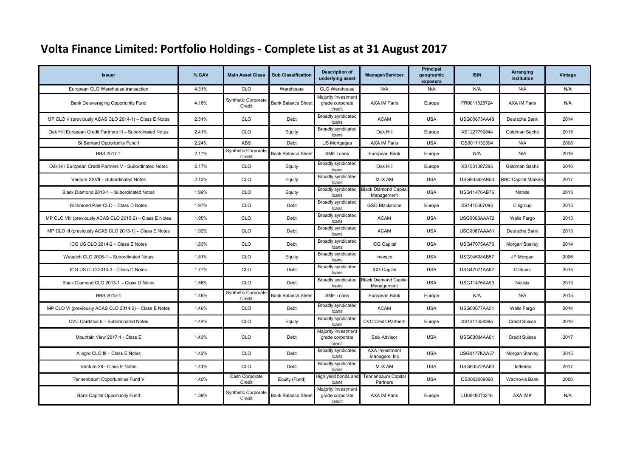| <b>Issuer</b>                                              | % GAV | <b>Main Asset Class</b>              | <b>Sub Classification</b> | <b>Description of</b><br>underlying asset        | <b>Manager/Servicer</b>                                | Principal<br>geographic<br>exposure | <b>ISIN</b>         | Arranging<br><b>Institution</b> | Vintage |
|------------------------------------------------------------|-------|--------------------------------------|---------------------------|--------------------------------------------------|--------------------------------------------------------|-------------------------------------|---------------------|---------------------------------|---------|
| European CLO Warehouse transaction                         | 4.31% | CLO                                  | Warehouse                 | CLO Warehouse                                    | N/A                                                    | N/A                                 | N/A                 | N/A                             | N/A     |
| Bank Deleveraging Opportunity Fund                         | 4.18% | Synthetic Corporate<br>Credit        | <b>Bank Balance Sheet</b> | Majority investment<br>grade corporate<br>credit | <b>AXA IM Paris</b>                                    | Europe                              | FR0011525724        | <b>AXA IM Paris</b>             | N/A     |
| MP CLO V (previously ACAS CLO 2014-1) - Class E Notes      | 2.51% | CLO                                  | Debt                      | <b>Broadly syndicated</b><br>loans               | <b>ACAM</b>                                            | <b>USA</b>                          | USG00673AA48        | Deutsche Bank                   | 2014    |
| Oak Hill European Credit Partners III - Subordinated Notes | 2.41% | CLO                                  | Equity                    | Broadly syndicated<br>loans                      | Oak Hill                                               | Europe                              | XS1227790844        | Goldman Sachs                   | 2015    |
| St Bernard Opportunity Fund I                              | 2.24% | ABS                                  | Debt                      | US Mortgages                                     | <b>AXA IM Paris</b>                                    | <b>USA</b>                          | QS0011132394        | N/A                             | 2008    |
| BBS 2017-1                                                 | 2.17% | Synthetic Corporate<br>Credit        | <b>Bank Balance Sheet</b> | SME Loans                                        | European Bank                                          | Europe                              | N/A                 | N/A                             | 2016    |
| Oak Hill European Credit Partners V - Subordinated Notes   | 2.17% | CLO                                  | Equity                    | Broadly syndicated<br>loans                      | Oak Hill                                               | Europe                              | XS1531387295        | Goldman Sachs                   | 2016    |
| Venture XXVII - Subordinated Notes                         | 2.13% | CLO                                  | Equity                    | Broadly syndicated<br>loans                      | MJX AM                                                 | <b>USA</b>                          | USG93562AB53        | <b>RBC Capital Markets</b>      | 2017    |
| Black Diamond 2013-1 - Subordinated Notes                  | 1.99% | CLO                                  | Equity                    | loans                                            | Broadly syndicated Black Diamond Capital<br>Management | <b>USA</b>                          | <b>USG11476AB76</b> | <b>Natixis</b>                  | 2013    |
| Richmond Park CLO - Class D Notes                          | 1.97% | CLO                                  | Debt                      | Broadly syndicated<br>loans                      | <b>GSO Blackstone</b>                                  | Europe                              | XS1415667093        | Citigroup                       | 2013    |
| MP CLO VIII (previously ACAS CLO 2015-2) - Class E Notes   | 1.95% | CLO                                  | Debt                      | Broadly syndicated<br>loans                      | <b>ACAM</b>                                            | <b>USA</b>                          | USG0068AAA72        | Wells Fargo                     | 2015    |
| MP CLO III (previously ACAS CLO 2013-1) - Class E Notes    | 1.92% | CLO                                  | Debt                      | Broadly syndicated<br>loans                      | <b>ACAM</b>                                            | <b>USA</b>                          | <b>USG0067AAA81</b> | Deutsche Bank                   | 2013    |
| ICG US CLO 2014-2 - Class E Notes                          | 1.83% | CLO                                  | Debt                      | Broadly syndicated<br>loans                      | <b>ICG Capital</b>                                     | <b>USA</b>                          | USG47075AA76        | Morgan Stanley                  | 2014    |
| Wasatch CLO 2006-1 - Subordinated Notes                    | 1.81% | CLO                                  | Equity                    | Broadly syndicated<br>loans                      | Invesco                                                | <b>USA</b>                          | USG94608AB57        | JP Morgan                       | 2006    |
| ICG US CLO 2014-3 - Class D Notes                          | 1.77% | CLO                                  | Debt                      | Broadly syndicated<br>loans                      | <b>ICG Capital</b>                                     | <b>USA</b>                          | USG47071AA62        | Citibank                        | 2015    |
| Black Diamond CLO 2013-1 - Class D Notes                   | 1.56% | CLO                                  | Debt                      | loans                                            | Broadly syndicated Black Diamond Capital<br>Management | <b>USA</b>                          | <b>USG11476AA93</b> | Natixis                         | 2013    |
| BBS 2015-4                                                 | 1.46% | Synthetic Corporate<br>Credit        | <b>Bank Balance Sheet</b> | SME Loans                                        | European Bank                                          | Europe                              | N/A                 | N/A                             | 2015    |
| MP CLO VI (previously ACAS CLO 2014-2) - Class E Notes     | 1.46% | CLO                                  | Debt                      | Broadly syndicated<br>loans                      | <b>ACAM</b>                                            | <b>USA</b>                          | USG00677AA51        | Wells Fargo                     | 2014    |
| CVC Cordatus 6 - Subordinated Notes                        | 1.44% | <b>CLO</b>                           | Equity                    | Broadly syndicated<br>loans                      | <b>CVC Credit Partners</b>                             | Europe                              | XS1317358395        | Crédit Suisse                   | 2016    |
| Mountain View 2017-1 - Class E                             | 1.43% | CLO                                  | Debt                      | Majority investment<br>grade corporate<br>credit | Seix Advisor                                           | <b>USA</b>                          | USG63004AA61        | Crédit Suisse                   | 2017    |
| Allegro CLO III - Class E Notes                            | 1.42% | CLO                                  | Debt                      | <b>Broadly syndicated</b><br>loans               | <b>AXA Investment</b><br>Managers, Inc.                | <b>USA</b>                          | USG0177KAA37        | Morgan Stanley                  | 2015    |
| Venture 28 - Class E Notes                                 | 1.41% | CLO                                  | Debt                      | Broadly syndicated<br>loans                      | MJX AM                                                 | <b>USA</b>                          | USG93572AA60        | <b>Jefferies</b>                | 2017    |
| Tennenbaum Opportunities Fund V                            | 1.40% | Cash Corporate<br>Credit             | Equity (Fund)             | High yield bonds and<br>loans                    | Tennenbaum Capital<br>Partners                         | <b>USA</b>                          | QS0002009890        | Wachovia Bank                   | 2006    |
| Bank Capital Opportunity Fund                              | 1.39% | <b>Synthetic Corporate</b><br>Credit | <b>Bank Balance Sheet</b> | Majority investment<br>grade corporate<br>credit | <b>AXA IM Paris</b>                                    | Europe                              | LU0648070216        | AXA IMP                         | N/A     |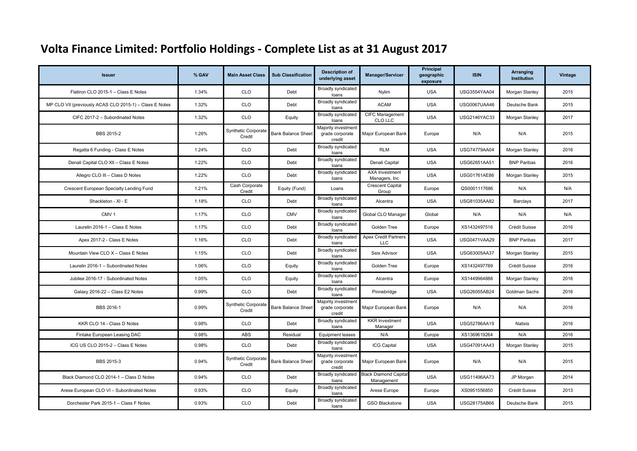| <b>Issuer</b>                                           | % GAV | <b>Main Asset Class</b>              | <b>Sub Classification</b> | <b>Description of</b><br>underlying asset        | <b>Manager/Servicer</b>                    | Principal<br>geographic<br>exposure | <b>ISIN</b>         | Arranging<br><b>Institution</b> | Vintage |
|---------------------------------------------------------|-------|--------------------------------------|---------------------------|--------------------------------------------------|--------------------------------------------|-------------------------------------|---------------------|---------------------------------|---------|
| Flatiron CLO 2015-1 - Class E Notes                     | 1.34% | <b>CLO</b>                           | Debt                      | Broadly syndicated<br>loans                      | Nylim                                      | <b>USA</b>                          | <b>USG3554YAA04</b> | Morgan Stanley                  | 2015    |
| MP CLO VII (previously ACAS CLO 2015-1) - Class E Notes | 1.32% | CLO                                  | Debt                      | Broadly syndicated<br>loans                      | <b>ACAM</b>                                | <b>USA</b>                          | <b>USG0067UAA46</b> | Deutsche Bank                   | 2015    |
| CIFC 2017-2 - Subordinated Notes                        | 1.32% | CLO                                  | Equity                    | <b>Broadly syndicated</b><br>loans               | CIFC Management<br>CLO LLC                 | <b>USA</b>                          | USG2146YAC33        | Morgan Stanley                  | 2017    |
| BBS 2015-2                                              | 1.26% | <b>Synthetic Corporate</b><br>Credit | <b>Bank Balance Sheet</b> | Majority investment<br>grade corporate<br>credit | Major European Bank                        | Europe                              | N/A                 | N/A                             | 2015    |
| Regatta 6 Funding - Class E Notes                       | 1.24% | CLO                                  | Debt                      | Broadly syndicated<br>loans                      | <b>RLM</b>                                 | <b>USA</b>                          | USG74779AA04        | Morgan Stanley                  | 2016    |
| Denali Capital CLO XII - Class E Notes                  | 1.22% | <b>CLO</b>                           | Debt                      | Broadly syndicated<br>loans                      | Denali Capital                             | <b>USA</b>                          | USG62651AA51        | <b>BNP Paribas</b>              | 2016    |
| Allegro CLO III - Class D Notes                         | 1.22% | <b>CLO</b>                           | Debt                      | <b>Broadly syndicated</b><br>loans               | <b>AXA Investment</b><br>Managers, Inc     | <b>USA</b>                          | USG01761AE86        | Morgan Stanley                  | 2015    |
| Crescent European Specialty Lending Fund                | 1.21% | Cash Corporate<br>Credit             | Equity (Fund)             | Loans                                            | <b>Crescent Capital</b><br>Group           | Europe                              | QS0001117686        | N/A                             | N/A     |
| Shackleton - XI - E                                     | 1.18% | <b>CLO</b>                           | Debt                      | Broadly syndicated<br>loans                      | Alcentra                                   | <b>USA</b>                          | USG81035AA82        | <b>Barclays</b>                 | 2017    |
| CMV <sub>1</sub>                                        | 1.17% | <b>CLO</b>                           | <b>CMV</b>                | <b>Broadly syndicated</b><br>loans               | Global CLO Manager                         | Global                              | N/A                 | N/A                             | N/A     |
| Laurelin 2016-1 - Class E Notes                         | 1.17% | CLO                                  | Debt                      | <b>Broadly syndicated</b><br>loans               | Golden Tree                                | Europe                              | XS1432497516        | Crédit Suisse                   | 2016    |
| Apex 2017-2 - Class E Notes                             | 1.16% | CLO                                  | Debt                      | Broadly syndicated<br>loans                      | <b>Apex Credit Partners</b><br><b>LLC</b>  | <b>USA</b>                          | <b>USG0471VAA29</b> | <b>BNP Paribas</b>              | 2017    |
| Mountain View CLO X - Class E Notes                     | 1.15% | <b>CLO</b>                           | Debt                      | Broadly syndicated<br>loans                      | Seix Advisor                               | <b>USA</b>                          | USG63005AA37        | Morgan Stanley                  | 2015    |
| Laurelin 2016-1 - Subordinated Notes                    | 1.06% | <b>CLO</b>                           | Equity                    | Broadly syndicated<br>loans                      | Golden Tree                                | Europe                              | XS1432497789        | Crédit Suisse                   | 2016    |
| Jubilee 2016-17 - Subordinated Notes                    | 1.05% | <b>CLO</b>                           | Equity                    | Broadly syndicated<br>loans                      | Alcentra                                   | Europe                              | XS1449964888        | Morgan Stanley                  | 2016    |
| Galaxy 2016-22 - Class E2 Notes                         | 0.99% | CLO                                  | Debt                      | Broadly syndicated<br>loans                      | Pinnebridge                                | <b>USA</b>                          | USG26055AB24        | Goldman Sachs                   | 2016    |
| BBS 2016-1                                              | 0.99% | <b>Synthetic Corporate</b><br>Credit | <b>Bank Balance Sheet</b> | Majority investment<br>grade corporate<br>credit | Major European Bank                        | Europe                              | N/A                 | N/A                             | 2016    |
| KKR CLO 14 - Class D Notes                              | 0.98% | CLO                                  | Debt                      | <b>Broadly syndicated</b><br>loans               | <b>KKR</b> Investment<br>Manager           | <b>USA</b>                          | USG52786AA19        | Natixis                         | 2016    |
| Fintake European Leasing DAC                            | 0.98% | ABS                                  | Residual                  | <b>Equipment leases</b>                          | N/A                                        | Europe                              | XS1369619264        | N/A                             | 2016    |
| ICG US CLO 2015-2 - Class E Notes                       | 0.98% | CLO                                  | Debt                      | Broadly syndicated<br>loans                      | <b>ICG Capital</b>                         | <b>USA</b>                          | USG47091AA43        | Morgan Stanley                  | 2015    |
| BBS 2015-3                                              | 0.94% | Synthetic Corporate<br>Credit        | <b>Bank Balance Sheet</b> | Majority investment<br>grade corporate<br>credit | Major European Bank                        | Europe                              | N/A                 | N/A                             | 2015    |
| Black Diamond CLO 2014-1 - Class D Notes                | 0.94% | CLO                                  | Debt                      | Broadly syndicated<br>loans                      | <b>Black Diamond Capital</b><br>Management | <b>USA</b>                          | USG11496AA73        | JP Morgan                       | 2014    |
| Arese European CLO VI - Subordinated Notes              | 0.93% | <b>CLO</b>                           | Equity                    | Broadly syndicated<br>loans                      | Arese Europe                               | Europe                              | XS0951556850        | Crédit Suisse                   | 2013    |
| Dorchester Park 2015-1 - Class F Notes                  | 0.93% | <b>CLO</b>                           | Debt                      | Broadly syndicated<br>loans                      | <b>GSO Blackstone</b>                      | <b>USA</b>                          | USG28175AB66        | Deutsche Bank                   | 2015    |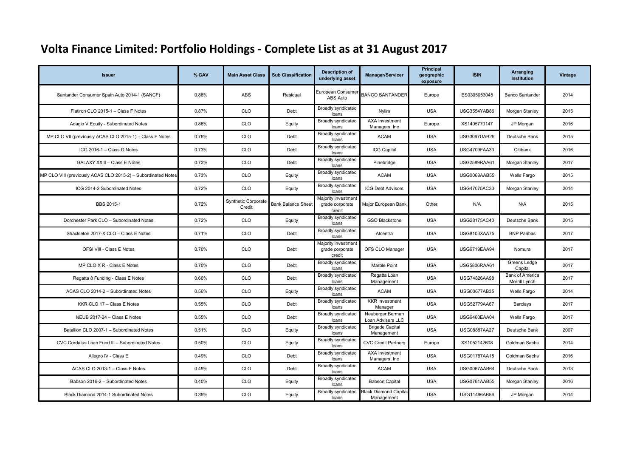| <b>Issuer</b>                                                 | % GAV | <b>Main Asset Class</b>       | <b>Sub Classification</b> | <b>Description of</b><br>underlying asset        | <b>Manager/Servicer</b>                    | Principal<br>geographic<br>exposure | <b>ISIN</b>         | Arranging<br><b>Institution</b>         | Vintage |
|---------------------------------------------------------------|-------|-------------------------------|---------------------------|--------------------------------------------------|--------------------------------------------|-------------------------------------|---------------------|-----------------------------------------|---------|
| Santander Consumer Spain Auto 2014-1 (SANCF)                  | 0.88% | ABS                           | Residual                  | European Consumer<br>ABS Auto                    | <b>BANCO SANTANDER</b>                     | Europe                              | ES0305053045        | <b>Banco Santander</b>                  | 2014    |
| Flatiron CLO 2015-1 - Class F Notes                           | 0.87% | <b>CLO</b>                    | Debt                      | Broadly syndicated<br>loans                      | Nylim                                      | <b>USA</b>                          | <b>USG3554YAB86</b> | Morgan Stanley                          | 2015    |
| Adagio V Equity - Subordinated Notes                          | 0.86% | CLO                           | Equity                    | Broadly syndicated<br>loans                      | <b>AXA Investment</b><br>Managers, Inc     | Europe                              | XS1405770147        | JP Morgan                               | 2016    |
| MP CLO VII (previously ACAS CLO 2015-1) - Class F Notes       | 0.76% | <b>CLO</b>                    | Debt                      | Broadly syndicated<br>loans                      | <b>ACAM</b>                                | <b>USA</b>                          | <b>USG0067UAB29</b> | Deutsche Bank                           | 2015    |
| ICG 2016-1 - Class D Notes                                    | 0.73% | CLO                           | Debt                      | <b>Broadly syndicated</b><br>loans               | <b>ICG Capital</b>                         | <b>USA</b>                          | <b>USG4709FAA33</b> | Citibank                                | 2016    |
| <b>GALAXY XXIII - Class E Notes</b>                           | 0.73% | <b>CLO</b>                    | Debt                      | Broadly syndicated<br>loans                      | Pinebridge                                 | <b>USA</b>                          | <b>USG2589RAA61</b> | Morgan Stanley                          | 2017    |
| MP CLO VIII (previously ACAS CLO 2015-2) - Subordinated Notes | 0.73% | <b>CLO</b>                    | Equity                    | Broadly syndicated<br>loans                      | <b>ACAM</b>                                | <b>USA</b>                          | USG0068AAB55        | Wells Fargo                             | 2015    |
| ICG 2014-2 Subordinated Notes                                 | 0.72% | <b>CLO</b>                    | Equity                    | Broadly syndicated<br>loans                      | <b>ICG Debt Advisors</b>                   | <b>USA</b>                          | USG47075AC33        | Morgan Stanley                          | 2014    |
| <b>BBS 2015-1</b>                                             | 0.72% | Synthetic Corporate<br>Credit | <b>Bank Balance Sheet</b> | Majority investment<br>grade corporate<br>credit | Major European Bank                        | Other                               | N/A                 | N/A                                     | 2015    |
| Dorchester Park CLO - Subordinated Notes                      | 0.72% | CLO                           | Equity                    | Broadly syndicated<br>loans                      | <b>GSO Blackstone</b>                      | <b>USA</b>                          | USG28175AC40        | Deutsche Bank                           | 2015    |
| Shackleton 2017-X CLO - Class E Notes                         | 0.71% | CLO                           | Debt                      | Broadly syndicated<br>loans                      | Alcentra                                   | <b>USA</b>                          | USG8103XAA75        | <b>BNP Paribas</b>                      | 2017    |
| OFSI VIII - Class E Notes                                     | 0.70% | CLO                           | Debt                      | Majority investment<br>grade corporate<br>credit | OFS CLO Manager                            | <b>USA</b>                          | <b>USG6719EAA94</b> | Nomura                                  | 2017    |
| MP CLO X R - Class E Notes                                    | 0.70% | <b>CLO</b>                    | Debt                      | Broadly syndicated<br>loans                      | Marble Point                               | <b>USA</b>                          | <b>USG5806RAA61</b> | Greens Ledge<br>Capital                 | 2017    |
| Regatta 8 Funding - Class E Notes                             | 0.66% | CLO                           | Debt                      | Broadly syndicated<br>loans                      | Regatta Loan<br>Management                 | <b>USA</b>                          | USG74826AA98        | <b>Bank of America</b><br>Merrill Lynch | 2017    |
| ACAS CLO 2014-2 - Subordinated Notes                          | 0.56% | CLO <sub></sub>               | Equity                    | Broadly syndicated<br>loans                      | <b>ACAM</b>                                | <b>USA</b>                          | <b>USG00677AB35</b> | Wells Fargo                             | 2014    |
| KKR CLO 17 - Class E Notes                                    | 0.55% | <b>CLO</b>                    | Debt                      | <b>Broadly syndicated</b><br>loans               | <b>KKR</b> Investment<br>Manager           | <b>USA</b>                          | USG52779AA67        | <b>Barclays</b>                         | 2017    |
| NEUB 2017-24 - Class E Notes                                  | 0.55% | <b>CLO</b>                    | Debt                      | Broadly syndicated<br>loans                      | Neuberger Berman<br>Loan Advisers LLC      | <b>USA</b>                          | USG6460EAA04        | Wells Fargo                             | 2017    |
| Batallion CLO 2007-1 - Subordinated Notes                     | 0.51% | CLO                           | Equity                    | <b>Broadly syndicated</b><br>loans               | <b>Brigade Capital</b><br>Management       | <b>USA</b>                          | USG08887AA27        | Deutsche Bank                           | 2007    |
| CVC Cordatus Loan Fund III - Subordinated Notes               | 0.50% | CLO                           | Equity                    | <b>Broadly syndicated</b><br>loans               | <b>CVC Credit Partners</b>                 | Europe                              | XS1052142608        | Goldman Sachs                           | 2014    |
| Allegro IV - Class E                                          | 0.49% | <b>CLO</b>                    | Debt                      | Broadly syndicated<br>loans                      | AXA Investment<br>Managers, Inc            | <b>USA</b>                          | USG01787AA15        | Goldman Sachs                           | 2016    |
| ACAS CLO 2013-1 - Class F Notes                               | 0.49% | <b>CLO</b>                    | Debt                      | Broadly syndicated<br>loans                      | <b>ACAM</b>                                | <b>USA</b>                          | <b>USG0067AAB64</b> | Deutsche Bank                           | 2013    |
| Babson 2016-2 - Subordinated Notes                            | 0.40% | <b>CLO</b>                    | Equity                    | Broadly syndicated<br>loans                      | <b>Babson Capital</b>                      | <b>USA</b>                          | <b>USG0761AAB55</b> | Morgan Stanley                          | 2016    |
| Black Diamond 2014-1 Subordinated Notes                       | 0.39% | CLO                           | Equity                    | Broadly syndicated<br>loans                      | <b>Black Diamond Capital</b><br>Management | <b>USA</b>                          | USG11496AB56        | JP Morgan                               | 2014    |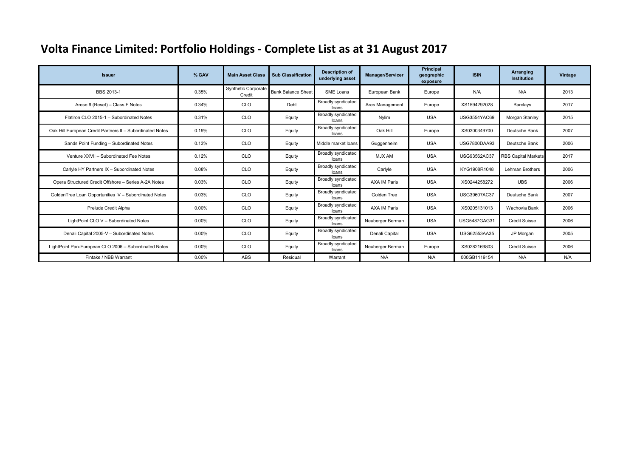| <b>Issuer</b>                                             | % GAV | <b>Main Asset Class</b>              | <b>Sub Classification</b> | <b>Description of</b><br>underlying asset | <b>Manager/Servicer</b> | Principal<br>geographic<br>exposure | <b>ISIN</b>         | Arranging<br><b>Institution</b> | Vintage |
|-----------------------------------------------------------|-------|--------------------------------------|---------------------------|-------------------------------------------|-------------------------|-------------------------------------|---------------------|---------------------------------|---------|
| BBS 2013-1                                                | 0.35% | <b>Synthetic Corporate</b><br>Credit | <b>Bank Balance Sheet</b> | SME Loans                                 | European Bank           | Europe                              | N/A                 | N/A                             | 2013    |
| Arese 6 (Reset) - Class F Notes                           | 0.34% | <b>CLO</b>                           | Debt                      | <b>Broadly syndicated</b><br>loans        | Ares Management         | Europe                              | XS1594292028        | <b>Barclays</b>                 | 2017    |
| Flatiron CLO 2015-1 - Subordinated Notes                  | 0.31% | <b>CLO</b>                           | Equity                    | Broadly syndicated<br>loans               | Nylim                   | <b>USA</b>                          | <b>USG3554YAC69</b> | Morgan Stanley                  | 2015    |
| Oak Hill European Credit Partners II - Subordinated Notes | 0.19% | <b>CLO</b>                           | Equity                    | Broadly syndicated<br>loans               | Oak Hill                | Europe                              | XS0300349700        | Deutsche Bank                   | 2007    |
| Sands Point Funding - Subordinated Notes                  | 0.13% | <b>CLO</b>                           | Equity                    | Middle market loans                       | Guggenheim              | <b>USA</b>                          | <b>USG7800DAA93</b> | Deutsche Bank                   | 2006    |
| Venture XXVII - Subordinated Fee Notes                    | 0.12% | <b>CLO</b>                           | Equity                    | Broadly syndicated<br>loans               | MJX AM                  | <b>USA</b>                          | USG93562AC37        | <b>RBS Capital Markets</b>      | 2017    |
| Carlyle HY Partners IX - Subordinated Notes               | 0.08% | <b>CLO</b>                           | Equity                    | <b>Broadly syndicated</b><br>loans        | Carlyle                 | <b>USA</b>                          | KYG1908R1048        | Lehman Brothers                 | 2006    |
| Opera Structured Credit Offshore - Series A-2A Notes      | 0.03% | <b>CLO</b>                           | Equity                    | <b>Broadly syndicated</b><br>loans        | <b>AXA IM Paris</b>     | <b>USA</b>                          | XS0244258272        | <b>UBS</b>                      | 2006    |
| GoldenTree Loan Opportunities IV - Subordinated Notes     | 0.03% | <b>CLO</b>                           | Equity                    | Broadly syndicated<br>loans               | Golden Tree             | <b>USA</b>                          | USG39607AC37        | Deutsche Bank                   | 2007    |
| Prelude Credit Alpha                                      | 0.00% | <b>CLO</b>                           | Equity                    | Broadly syndicated<br>loans               | <b>AXA IM Paris</b>     | <b>USA</b>                          | XS0205131013        | Wachovia Bank                   | 2006    |
| LightPoint CLO V - Subordinated Notes                     | 0.00% | <b>CLO</b>                           | Equity                    | Broadly syndicated<br>loans               | Neuberger Berman        | <b>USA</b>                          | <b>USG5487GAG31</b> | Crédit Suisse                   | 2006    |
| Denali Capital 2005-V - Subordinated Notes                | 0.00% | <b>CLO</b>                           | Equity                    | <b>Broadly syndicated</b><br>loans        | Denali Capital          | <b>USA</b>                          | USG62553AA35        | JP Morgan                       | 2005    |
| LightPoint Pan-European CLO 2006 - Subordinated Notes     | 0.00% | <b>CLO</b>                           | Equity                    | <b>Broadly syndicated</b><br>loans        | Neuberger Berman        | Europe                              | XS0282169803        | Crédit Suisse                   | 2006    |
| Fintake / NBB Warrant                                     | 0.00% | ABS                                  | Residual                  | Warrant                                   | N/A                     | N/A                                 | 000GB1119154        | N/A                             | N/A     |